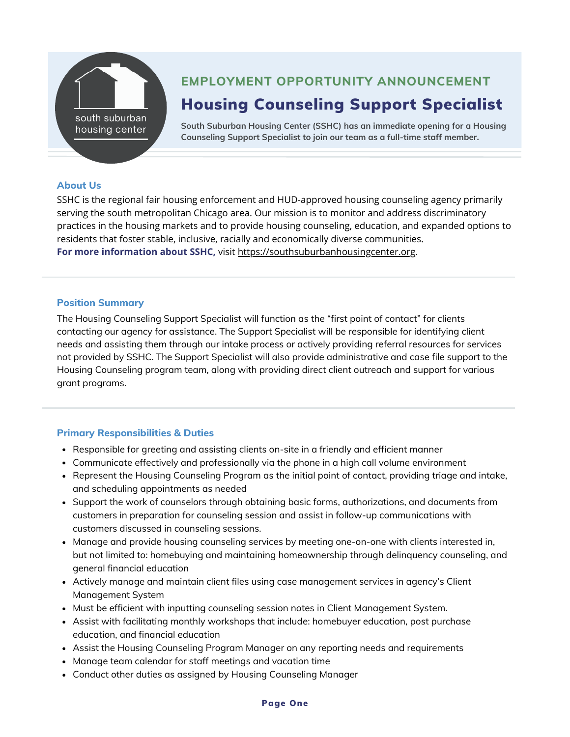

# Housing Counseling Support Specialist **EMPLOYMENT OPPORTUNITY ANNOUNCEMENT**

**South Suburban Housing Center (SSHC) has an immediate opening for a Housing Counseling Support Specialist to join our team as a full-time staff member.**

#### **About Us**

SSHC is the regional fair housing enforcement and HUD-approved housing counseling agency primarily serving the south metropolitan Chicago area. Our mission is to monitor and address discriminatory practices in the housing markets and to provide housing counseling, education, and expanded options to residents that foster stable, inclusive, racially and economically diverse communities. **For more information about SSHC,** visit [https://southsuburbanhousingcenter.org](https://southsuburbanhousingcenter.org/).

#### **Position Summary**

The Housing Counseling Support Specialist will function as the "first point of contact" for clients contacting our agency for assistance. The Support Specialist will be responsible for identifying client needs and assisting them through our intake process or actively providing referral resources for services not provided by SSHC. The Support Specialist will also provide administrative and case file support to the Housing Counseling program team, along with providing direct client outreach and support for various grant programs.

## **Primary Responsibilities & Duties**

- Responsible for greeting and assisting clients on-site in a friendly and efficient manner
- Communicate effectively and professionally via the phone in a high call volume environment
- Represent the Housing Counseling Program as the initial point of contact, providing triage and intake, and scheduling appointments as needed
- Support the work of counselors through obtaining basic forms, authorizations, and documents from customers in preparation for counseling session and assist in follow-up communications with customers discussed in counseling sessions.
- Manage and provide housing counseling services by meeting one-on-one with clients interested in, but not limited to: homebuying and maintaining homeownership through delinquency counseling, and general financial education
- Actively manage and maintain client files using case management services in agency's Client Management System
- Must be efficient with inputting counseling session notes in Client Management System.
- Assist with facilitating monthly workshops that include: homebuyer education, post purchase education, and financial education
- Assist the Housing Counseling Program Manager on any reporting needs and requirements
- Manage team calendar for staff meetings and vacation time
- Conduct other duties as assigned by Housing Counseling Manager